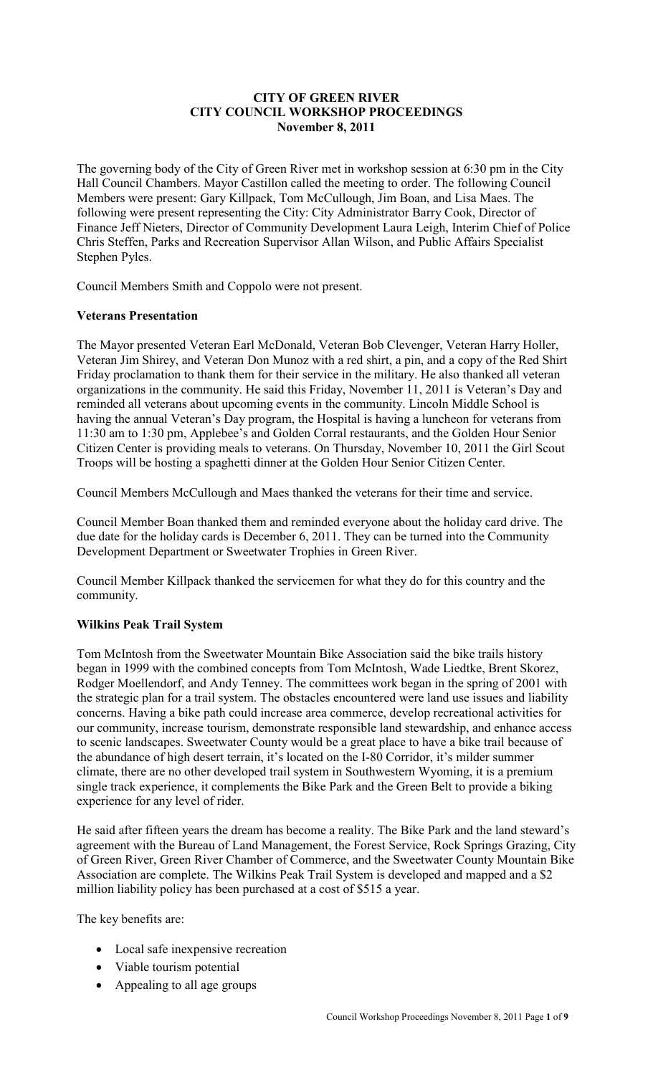### **CITY OF GREEN RIVER CITY COUNCIL WORKSHOP PROCEEDINGS November 8, 2011**

The governing body of the City of Green River met in workshop session at 6:30 pm in the City Hall Council Chambers. Mayor Castillon called the meeting to order. The following Council Members were present: Gary Killpack, Tom McCullough, Jim Boan, and Lisa Maes. The following were present representing the City: City Administrator Barry Cook, Director of Finance Jeff Nieters, Director of Community Development Laura Leigh, Interim Chief of Police Chris Steffen, Parks and Recreation Supervisor Allan Wilson, and Public Affairs Specialist Stephen Pyles.

Council Members Smith and Coppolo were not present.

# **Veterans Presentation**

The Mayor presented Veteran Earl McDonald, Veteran Bob Clevenger, Veteran Harry Holler, Veteran Jim Shirey, and Veteran Don Munoz with a red shirt, a pin, and a copy of the Red Shirt Friday proclamation to thank them for their service in the military. He also thanked all veteran organizations in the community. He said this Friday, November 11, 2011 is Veteran's Day and reminded all veterans about upcoming events in the community. Lincoln Middle School is having the annual Veteran's Day program, the Hospital is having a luncheon for veterans from 11:30 am to 1:30 pm, Applebee's and Golden Corral restaurants, and the Golden Hour Senior Citizen Center is providing meals to veterans. On Thursday, November 10, 2011 the Girl Scout Troops will be hosting a spaghetti dinner at the Golden Hour Senior Citizen Center.

Council Members McCullough and Maes thanked the veterans for their time and service.

Council Member Boan thanked them and reminded everyone about the holiday card drive. The due date for the holiday cards is December 6, 2011. They can be turned into the Community Development Department or Sweetwater Trophies in Green River.

Council Member Killpack thanked the servicemen for what they do for this country and the community.

# **Wilkins Peak Trail System**

Tom McIntosh from the Sweetwater Mountain Bike Association said the bike trails history began in 1999 with the combined concepts from Tom McIntosh, Wade Liedtke, Brent Skorez, Rodger Moellendorf, and Andy Tenney. The committees work began in the spring of 2001 with the strategic plan for a trail system. The obstacles encountered were land use issues and liability concerns. Having a bike path could increase area commerce, develop recreational activities for our community, increase tourism, demonstrate responsible land stewardship, and enhance access to scenic landscapes. Sweetwater County would be a great place to have a bike trail because of the abundance of high desert terrain, it's located on the I-80 Corridor, it's milder summer climate, there are no other developed trail system in Southwestern Wyoming, it is a premium single track experience, it complements the Bike Park and the Green Belt to provide a biking experience for any level of rider.

He said after fifteen years the dream has become a reality. The Bike Park and the land steward's agreement with the Bureau of Land Management, the Forest Service, Rock Springs Grazing, City of Green River, Green River Chamber of Commerce, and the Sweetwater County Mountain Bike Association are complete. The Wilkins Peak Trail System is developed and mapped and a \$2 million liability policy has been purchased at a cost of \$515 a year.

The key benefits are:

- Local safe inexpensive recreation
- Viable tourism potential
- Appealing to all age groups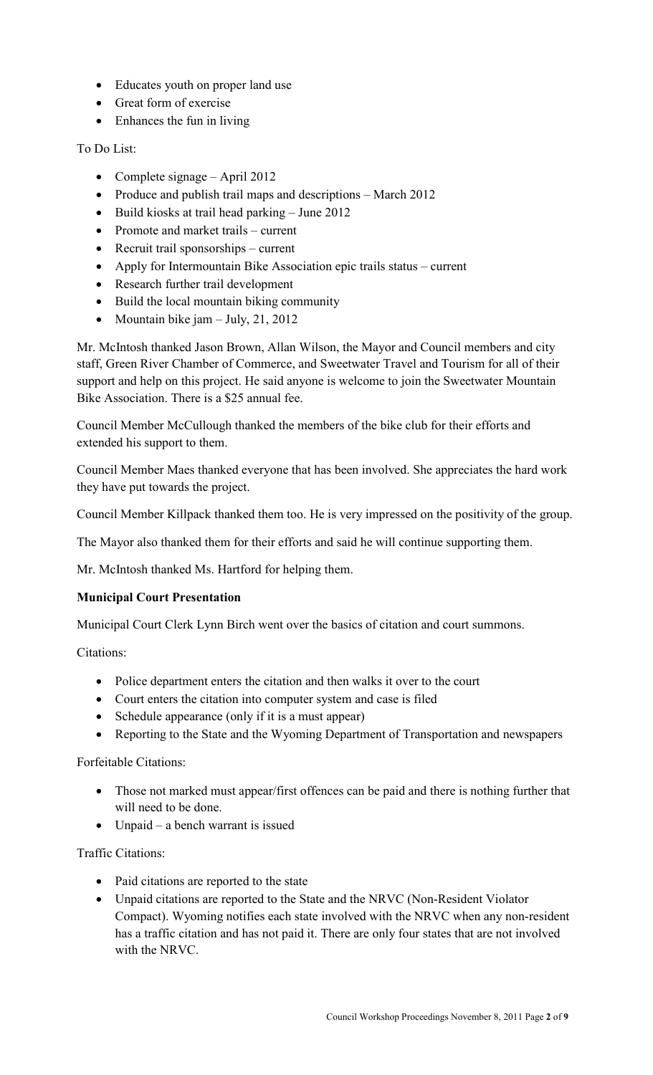- Educates youth on proper land use
- Great form of exercise
- Enhances the fun in living

To Do List:

- Complete signage April 2012
- Produce and publish trail maps and descriptions March 2012
- Build kiosks at trail head parking June 2012
- Promote and market trails current
- Recruit trail sponsorships current
- Apply for Intermountain Bike Association epic trails status current
- Research further trail development
- Build the local mountain biking community
- Mountain bike jam July, 21, 2012

Mr. McIntosh thanked Jason Brown, Allan Wilson, the Mayor and Council members and city staff, Green River Chamber of Commerce, and Sweetwater Travel and Tourism for all of their support and help on this project. He said anyone is welcome to join the Sweetwater Mountain Bike Association. There is a \$25 annual fee.

Council Member McCullough thanked the members of the bike club for their efforts and extended his support to them.

Council Member Maes thanked everyone that has been involved. She appreciates the hard work they have put towards the project.

Council Member Killpack thanked them too. He is very impressed on the positivity of the group.

The Mayor also thanked them for their efforts and said he will continue supporting them.

Mr. McIntosh thanked Ms. Hartford for helping them.

# **Municipal Court Presentation**

Municipal Court Clerk Lynn Birch went over the basics of citation and court summons.

Citations:

- Police department enters the citation and then walks it over to the court
- Court enters the citation into computer system and case is filed
- Schedule appearance (only if it is a must appear)
- Reporting to the State and the Wyoming Department of Transportation and newspapers

Forfeitable Citations:

- Those not marked must appear/first offences can be paid and there is nothing further that will need to be done.
- Unpaid a bench warrant is issued

Traffic Citations:

- Paid citations are reported to the state
- Unpaid citations are reported to the State and the NRVC (Non-Resident Violator Compact). Wyoming notifies each state involved with the NRVC when any non-resident has a traffic citation and has not paid it. There are only four states that are not involved with the NRVC.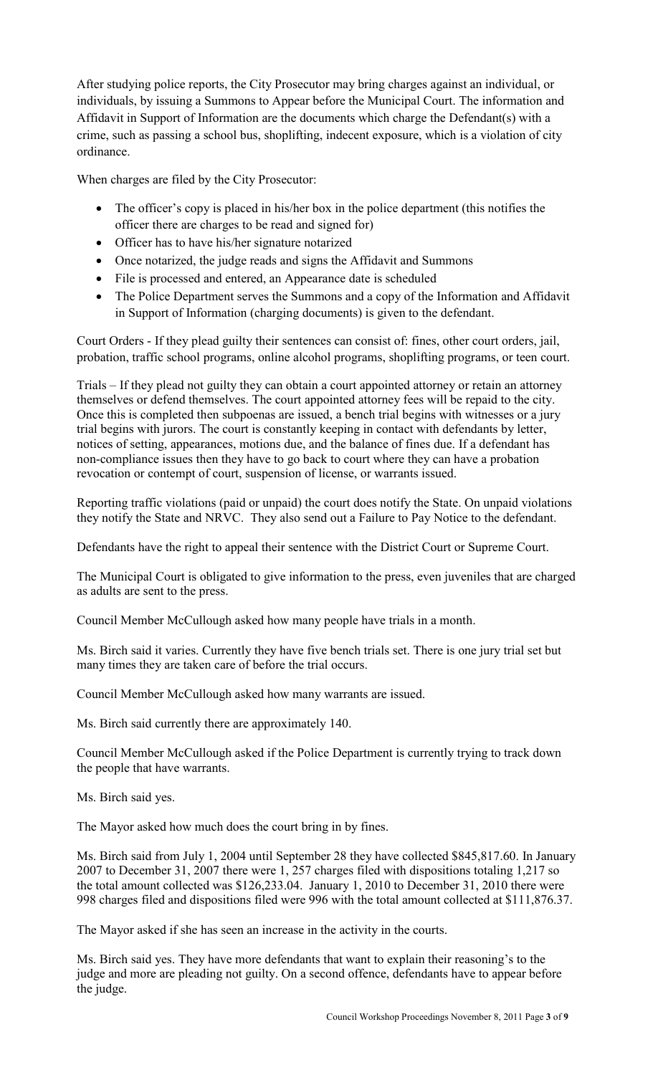After studying police reports, the City Prosecutor may bring charges against an individual, or individuals, by issuing a Summons to Appear before the Municipal Court. The information and Affidavit in Support of Information are the documents which charge the Defendant(s) with a crime, such as passing a school bus, shoplifting, indecent exposure, which is a violation of city ordinance.

When charges are filed by the City Prosecutor:

- The officer's copy is placed in his/her box in the police department (this notifies the officer there are charges to be read and signed for)
- Officer has to have his/her signature notarized
- Once notarized, the judge reads and signs the Affidavit and Summons
- File is processed and entered, an Appearance date is scheduled
- The Police Department serves the Summons and a copy of the Information and Affidavit in Support of Information (charging documents) is given to the defendant.

Court Orders - If they plead guilty their sentences can consist of: fines, other court orders, jail, probation, traffic school programs, online alcohol programs, shoplifting programs, or teen court.

Trials – If they plead not guilty they can obtain a court appointed attorney or retain an attorney themselves or defend themselves. The court appointed attorney fees will be repaid to the city. Once this is completed then subpoenas are issued, a bench trial begins with witnesses or a jury trial begins with jurors. The court is constantly keeping in contact with defendants by letter, notices of setting, appearances, motions due, and the balance of fines due. If a defendant has non-compliance issues then they have to go back to court where they can have a probation revocation or contempt of court, suspension of license, or warrants issued.

Reporting traffic violations (paid or unpaid) the court does notify the State. On unpaid violations they notify the State and NRVC. They also send out a Failure to Pay Notice to the defendant.

Defendants have the right to appeal their sentence with the District Court or Supreme Court.

The Municipal Court is obligated to give information to the press, even juveniles that are charged as adults are sent to the press.

Council Member McCullough asked how many people have trials in a month.

Ms. Birch said it varies. Currently they have five bench trials set. There is one jury trial set but many times they are taken care of before the trial occurs.

Council Member McCullough asked how many warrants are issued.

Ms. Birch said currently there are approximately 140.

Council Member McCullough asked if the Police Department is currently trying to track down the people that have warrants.

Ms. Birch said yes.

The Mayor asked how much does the court bring in by fines.

Ms. Birch said from July 1, 2004 until September 28 they have collected \$845,817.60. In January 2007 to December 31, 2007 there were 1, 257 charges filed with dispositions totaling 1,217 so the total amount collected was \$126,233.04. January 1, 2010 to December 31, 2010 there were 998 charges filed and dispositions filed were 996 with the total amount collected at \$111,876.37.

The Mayor asked if she has seen an increase in the activity in the courts.

Ms. Birch said yes. They have more defendants that want to explain their reasoning's to the judge and more are pleading not guilty. On a second offence, defendants have to appear before the judge.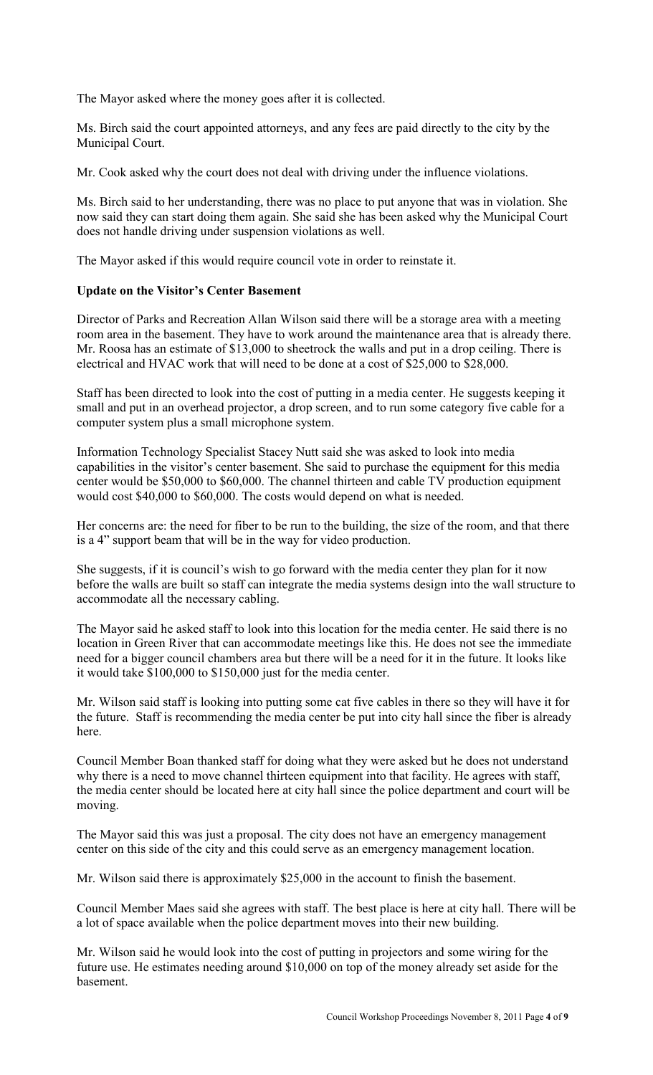The Mayor asked where the money goes after it is collected.

Ms. Birch said the court appointed attorneys, and any fees are paid directly to the city by the Municipal Court.

Mr. Cook asked why the court does not deal with driving under the influence violations.

Ms. Birch said to her understanding, there was no place to put anyone that was in violation. She now said they can start doing them again. She said she has been asked why the Municipal Court does not handle driving under suspension violations as well.

The Mayor asked if this would require council vote in order to reinstate it.

#### **Update on the Visitor's Center Basement**

Director of Parks and Recreation Allan Wilson said there will be a storage area with a meeting room area in the basement. They have to work around the maintenance area that is already there. Mr. Roosa has an estimate of \$13,000 to sheetrock the walls and put in a drop ceiling. There is electrical and HVAC work that will need to be done at a cost of \$25,000 to \$28,000.

Staff has been directed to look into the cost of putting in a media center. He suggests keeping it small and put in an overhead projector, a drop screen, and to run some category five cable for a computer system plus a small microphone system.

Information Technology Specialist Stacey Nutt said she was asked to look into media capabilities in the visitor's center basement. She said to purchase the equipment for this media center would be \$50,000 to \$60,000. The channel thirteen and cable TV production equipment would cost \$40,000 to \$60,000. The costs would depend on what is needed.

Her concerns are: the need for fiber to be run to the building, the size of the room, and that there is a 4" support beam that will be in the way for video production.

She suggests, if it is council's wish to go forward with the media center they plan for it now before the walls are built so staff can integrate the media systems design into the wall structure to accommodate all the necessary cabling.

The Mayor said he asked staff to look into this location for the media center. He said there is no location in Green River that can accommodate meetings like this. He does not see the immediate need for a bigger council chambers area but there will be a need for it in the future. It looks like it would take \$100,000 to \$150,000 just for the media center.

Mr. Wilson said staff is looking into putting some cat five cables in there so they will have it for the future. Staff is recommending the media center be put into city hall since the fiber is already here.

Council Member Boan thanked staff for doing what they were asked but he does not understand why there is a need to move channel thirteen equipment into that facility. He agrees with staff, the media center should be located here at city hall since the police department and court will be moving.

The Mayor said this was just a proposal. The city does not have an emergency management center on this side of the city and this could serve as an emergency management location.

Mr. Wilson said there is approximately \$25,000 in the account to finish the basement.

Council Member Maes said she agrees with staff. The best place is here at city hall. There will be a lot of space available when the police department moves into their new building.

Mr. Wilson said he would look into the cost of putting in projectors and some wiring for the future use. He estimates needing around \$10,000 on top of the money already set aside for the basement.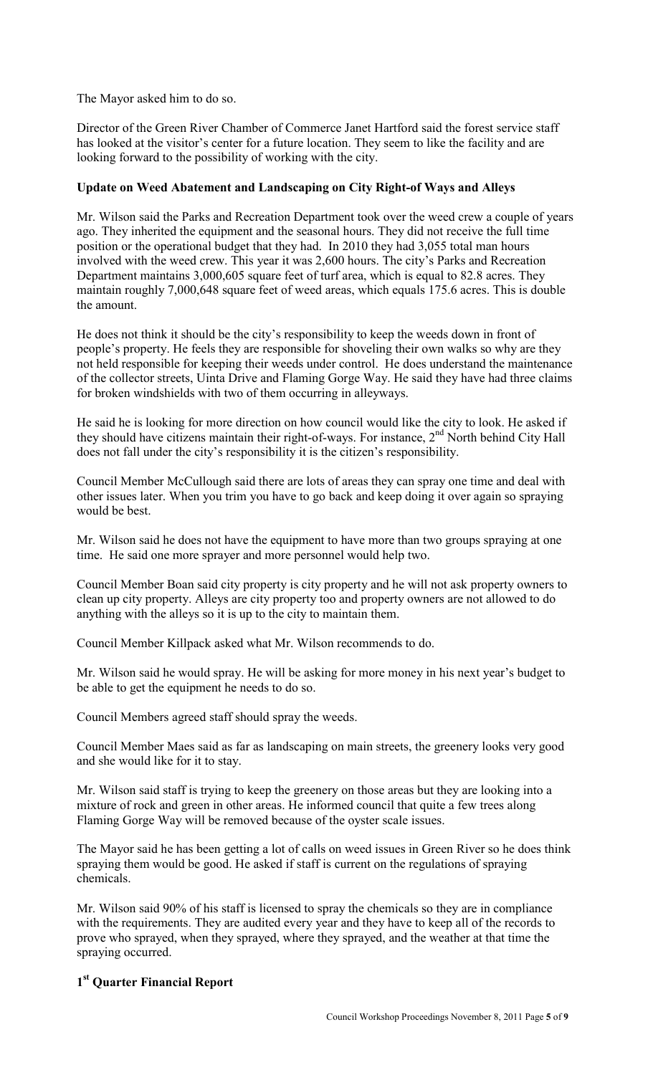The Mayor asked him to do so.

Director of the Green River Chamber of Commerce Janet Hartford said the forest service staff has looked at the visitor's center for a future location. They seem to like the facility and are looking forward to the possibility of working with the city.

### **Update on Weed Abatement and Landscaping on City Right-of Ways and Alleys**

Mr. Wilson said the Parks and Recreation Department took over the weed crew a couple of years ago. They inherited the equipment and the seasonal hours. They did not receive the full time position or the operational budget that they had. In 2010 they had 3,055 total man hours involved with the weed crew. This year it was 2,600 hours. The city's Parks and Recreation Department maintains 3,000,605 square feet of turf area, which is equal to 82.8 acres. They maintain roughly 7,000,648 square feet of weed areas, which equals 175.6 acres. This is double the amount.

He does not think it should be the city's responsibility to keep the weeds down in front of people's property. He feels they are responsible for shoveling their own walks so why are they not held responsible for keeping their weeds under control. He does understand the maintenance of the collector streets, Uinta Drive and Flaming Gorge Way. He said they have had three claims for broken windshields with two of them occurring in alleyways.

He said he is looking for more direction on how council would like the city to look. He asked if they should have citizens maintain their right-of-ways. For instance,  $2<sup>nd</sup>$  North behind City Hall does not fall under the city's responsibility it is the citizen's responsibility.

Council Member McCullough said there are lots of areas they can spray one time and deal with other issues later. When you trim you have to go back and keep doing it over again so spraying would be best.

Mr. Wilson said he does not have the equipment to have more than two groups spraying at one time. He said one more sprayer and more personnel would help two.

Council Member Boan said city property is city property and he will not ask property owners to clean up city property. Alleys are city property too and property owners are not allowed to do anything with the alleys so it is up to the city to maintain them.

Council Member Killpack asked what Mr. Wilson recommends to do.

Mr. Wilson said he would spray. He will be asking for more money in his next year's budget to be able to get the equipment he needs to do so.

Council Members agreed staff should spray the weeds.

Council Member Maes said as far as landscaping on main streets, the greenery looks very good and she would like for it to stay.

Mr. Wilson said staff is trying to keep the greenery on those areas but they are looking into a mixture of rock and green in other areas. He informed council that quite a few trees along Flaming Gorge Way will be removed because of the oyster scale issues.

The Mayor said he has been getting a lot of calls on weed issues in Green River so he does think spraying them would be good. He asked if staff is current on the regulations of spraying chemicals.

Mr. Wilson said 90% of his staff is licensed to spray the chemicals so they are in compliance with the requirements. They are audited every year and they have to keep all of the records to prove who sprayed, when they sprayed, where they sprayed, and the weather at that time the spraying occurred.

# **1 st Quarter Financial Report**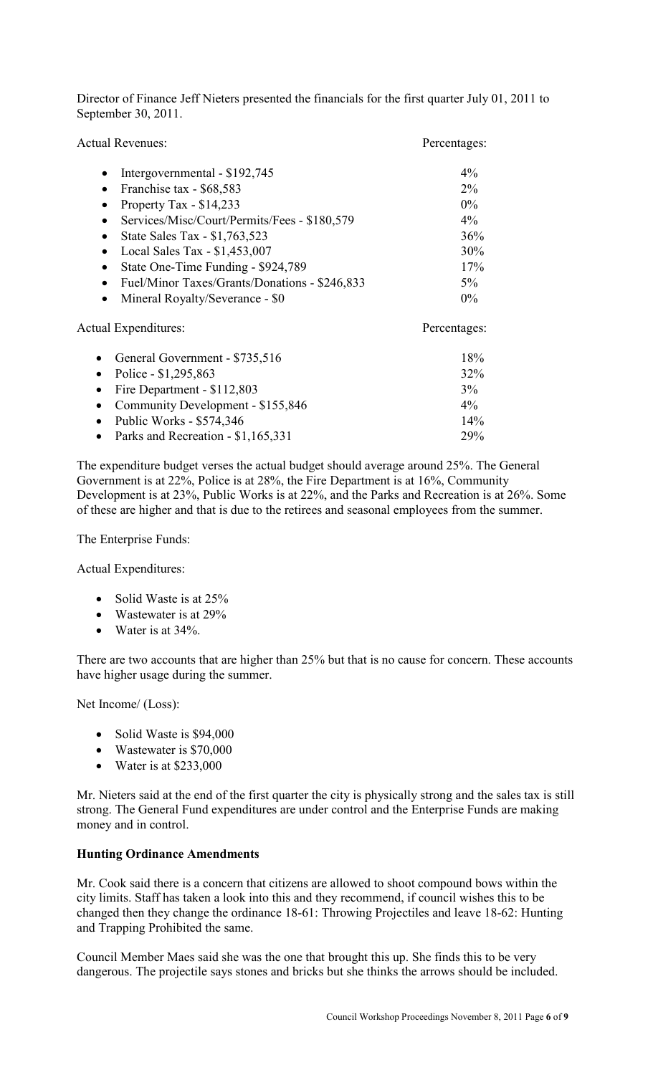Director of Finance Jeff Nieters presented the financials for the first quarter July 01, 2011 to September 30, 2011.

| <b>Actual Revenues:</b>                         | Percentages: |
|-------------------------------------------------|--------------|
| Intergovernmental - \$192,745                   | $4\%$        |
| Franchise tax - \$68,583<br>$\bullet$           | $2\%$        |
| Property Tax - $$14,233$                        | $0\%$        |
| Services/Misc/Court/Permits/Fees - \$180,579    | $4\%$        |
| State Sales Tax - \$1,763,523<br>$\bullet$      | 36%          |
| Local Sales Tax - \$1,453,007                   | 30%          |
| State One-Time Funding - \$924,789<br>$\bullet$ | 17%          |
| Fuel/Minor Taxes/Grants/Donations - \$246,833   | $5\%$        |
| Mineral Royalty/Severance - \$0<br>$\bullet$    | $0\%$        |
| Actual Expenditures:                            | Percentages: |
| General Government - \$735,516                  | 18%          |

| $\sim$ Ocheral Obverhinging $\psi$ 199,910 | 1 O / U    |
|--------------------------------------------|------------|
| • Police - $$1,295,863$                    | $32\%$     |
| • Fire Department - $$112,803$             | $3\%$      |
| • Community Development - $$155,846$       | $4\%$      |
| • Public Works - $$574,346$                | $14\%$     |
| • Parks and Recreation - $$1,165,331$      | <b>29%</b> |

The expenditure budget verses the actual budget should average around 25%. The General Government is at 22%, Police is at 28%, the Fire Department is at 16%, Community Development is at 23%, Public Works is at 22%, and the Parks and Recreation is at 26%. Some of these are higher and that is due to the retirees and seasonal employees from the summer.

The Enterprise Funds:

Actual Expenditures:

- Solid Waste is at 25%
- Wastewater is at 29%
- Water is at 34%.

There are two accounts that are higher than 25% but that is no cause for concern. These accounts have higher usage during the summer.

Net Income/ (Loss):

- Solid Waste is \$94,000
- Wastewater is \$70,000
- Water is at \$233,000

Mr. Nieters said at the end of the first quarter the city is physically strong and the sales tax is still strong. The General Fund expenditures are under control and the Enterprise Funds are making money and in control.

### **Hunting Ordinance Amendments**

Mr. Cook said there is a concern that citizens are allowed to shoot compound bows within the city limits. Staff has taken a look into this and they recommend, if council wishes this to be changed then they change the ordinance 18-61: Throwing Projectiles and leave 18-62: Hunting and Trapping Prohibited the same.

Council Member Maes said she was the one that brought this up. She finds this to be very dangerous. The projectile says stones and bricks but she thinks the arrows should be included.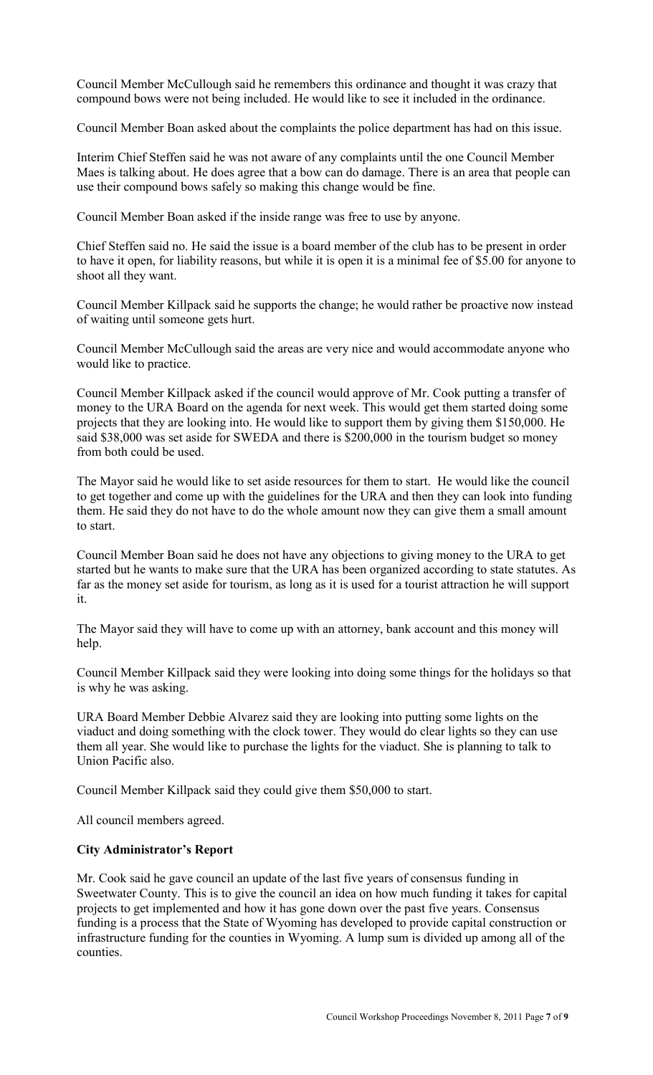Council Member McCullough said he remembers this ordinance and thought it was crazy that compound bows were not being included. He would like to see it included in the ordinance.

Council Member Boan asked about the complaints the police department has had on this issue.

Interim Chief Steffen said he was not aware of any complaints until the one Council Member Maes is talking about. He does agree that a bow can do damage. There is an area that people can use their compound bows safely so making this change would be fine.

Council Member Boan asked if the inside range was free to use by anyone.

Chief Steffen said no. He said the issue is a board member of the club has to be present in order to have it open, for liability reasons, but while it is open it is a minimal fee of \$5.00 for anyone to shoot all they want.

Council Member Killpack said he supports the change; he would rather be proactive now instead of waiting until someone gets hurt.

Council Member McCullough said the areas are very nice and would accommodate anyone who would like to practice.

Council Member Killpack asked if the council would approve of Mr. Cook putting a transfer of money to the URA Board on the agenda for next week. This would get them started doing some projects that they are looking into. He would like to support them by giving them \$150,000. He said \$38,000 was set aside for SWEDA and there is \$200,000 in the tourism budget so money from both could be used.

The Mayor said he would like to set aside resources for them to start. He would like the council to get together and come up with the guidelines for the URA and then they can look into funding them. He said they do not have to do the whole amount now they can give them a small amount to start.

Council Member Boan said he does not have any objections to giving money to the URA to get started but he wants to make sure that the URA has been organized according to state statutes. As far as the money set aside for tourism, as long as it is used for a tourist attraction he will support it.

The Mayor said they will have to come up with an attorney, bank account and this money will help.

Council Member Killpack said they were looking into doing some things for the holidays so that is why he was asking.

URA Board Member Debbie Alvarez said they are looking into putting some lights on the viaduct and doing something with the clock tower. They would do clear lights so they can use them all year. She would like to purchase the lights for the viaduct. She is planning to talk to Union Pacific also.

Council Member Killpack said they could give them \$50,000 to start.

All council members agreed.

### **City Administrator's Report**

Mr. Cook said he gave council an update of the last five years of consensus funding in Sweetwater County. This is to give the council an idea on how much funding it takes for capital projects to get implemented and how it has gone down over the past five years. Consensus funding is a process that the State of Wyoming has developed to provide capital construction or infrastructure funding for the counties in Wyoming. A lump sum is divided up among all of the counties.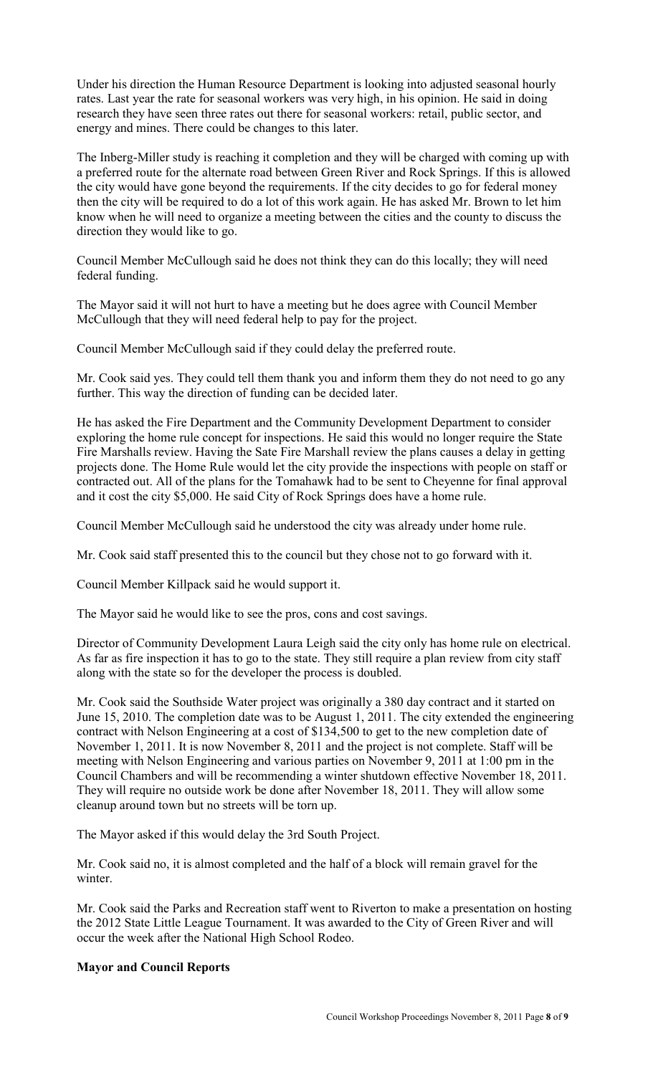Under his direction the Human Resource Department is looking into adjusted seasonal hourly rates. Last year the rate for seasonal workers was very high, in his opinion. He said in doing research they have seen three rates out there for seasonal workers: retail, public sector, and energy and mines. There could be changes to this later.

The Inberg-Miller study is reaching it completion and they will be charged with coming up with a preferred route for the alternate road between Green River and Rock Springs. If this is allowed the city would have gone beyond the requirements. If the city decides to go for federal money then the city will be required to do a lot of this work again. He has asked Mr. Brown to let him know when he will need to organize a meeting between the cities and the county to discuss the direction they would like to go.

Council Member McCullough said he does not think they can do this locally; they will need federal funding.

The Mayor said it will not hurt to have a meeting but he does agree with Council Member McCullough that they will need federal help to pay for the project.

Council Member McCullough said if they could delay the preferred route.

Mr. Cook said yes. They could tell them thank you and inform them they do not need to go any further. This way the direction of funding can be decided later.

He has asked the Fire Department and the Community Development Department to consider exploring the home rule concept for inspections. He said this would no longer require the State Fire Marshalls review. Having the Sate Fire Marshall review the plans causes a delay in getting projects done. The Home Rule would let the city provide the inspections with people on staff or contracted out. All of the plans for the Tomahawk had to be sent to Cheyenne for final approval and it cost the city \$5,000. He said City of Rock Springs does have a home rule.

Council Member McCullough said he understood the city was already under home rule.

Mr. Cook said staff presented this to the council but they chose not to go forward with it.

Council Member Killpack said he would support it.

The Mayor said he would like to see the pros, cons and cost savings.

Director of Community Development Laura Leigh said the city only has home rule on electrical. As far as fire inspection it has to go to the state. They still require a plan review from city staff along with the state so for the developer the process is doubled.

Mr. Cook said the Southside Water project was originally a 380 day contract and it started on June 15, 2010. The completion date was to be August 1, 2011. The city extended the engineering contract with Nelson Engineering at a cost of \$134,500 to get to the new completion date of November 1, 2011. It is now November 8, 2011 and the project is not complete. Staff will be meeting with Nelson Engineering and various parties on November 9, 2011 at 1:00 pm in the Council Chambers and will be recommending a winter shutdown effective November 18, 2011. They will require no outside work be done after November 18, 2011. They will allow some cleanup around town but no streets will be torn up.

The Mayor asked if this would delay the 3rd South Project.

Mr. Cook said no, it is almost completed and the half of a block will remain gravel for the winter.

Mr. Cook said the Parks and Recreation staff went to Riverton to make a presentation on hosting the 2012 State Little League Tournament. It was awarded to the City of Green River and will occur the week after the National High School Rodeo.

### **Mayor and Council Reports**